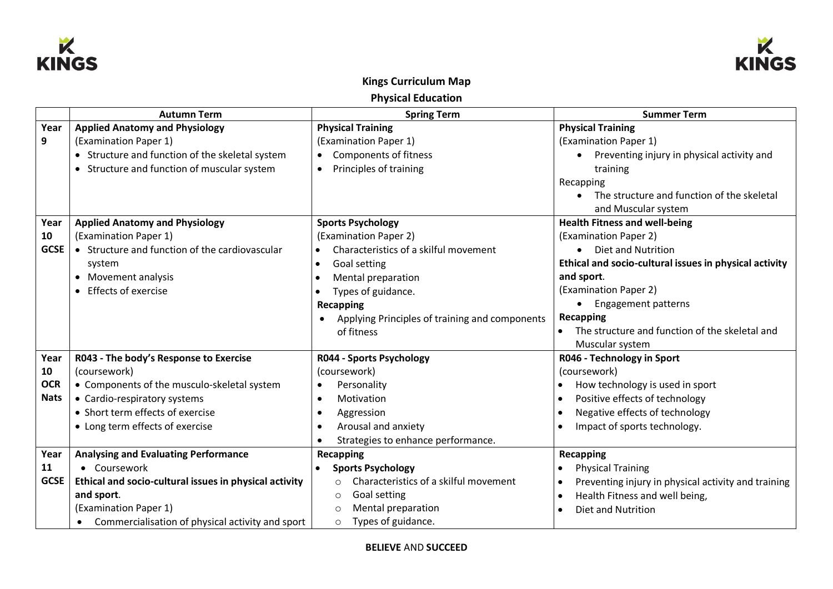



## **Kings Curriculum Map**

**Physical Education** 

|             | <b>Autumn Term</b>                                            | <b>Spring Term</b>                                | <b>Summer Term</b>                                               |
|-------------|---------------------------------------------------------------|---------------------------------------------------|------------------------------------------------------------------|
| Year        | <b>Applied Anatomy and Physiology</b>                         | <b>Physical Training</b>                          | <b>Physical Training</b>                                         |
| 9           | (Examination Paper 1)                                         | (Examination Paper 1)                             | (Examination Paper 1)                                            |
|             | Structure and function of the skeletal system                 | Components of fitness<br>$\bullet$                | Preventing injury in physical activity and<br>$\bullet$          |
|             | Structure and function of muscular system                     | Principles of training<br>$\bullet$               | training                                                         |
|             |                                                               |                                                   | Recapping                                                        |
|             |                                                               |                                                   | The structure and function of the skeletal                       |
|             |                                                               |                                                   | and Muscular system                                              |
| Year        | <b>Applied Anatomy and Physiology</b>                         | <b>Sports Psychology</b>                          | <b>Health Fitness and well-being</b>                             |
| 10          | (Examination Paper 1)                                         | (Examination Paper 2)                             | (Examination Paper 2)                                            |
| <b>GCSE</b> | • Structure and function of the cardiovascular                | Characteristics of a skilful movement             | • Diet and Nutrition                                             |
|             | system                                                        | Goal setting<br>$\bullet$                         | Ethical and socio-cultural issues in physical activity           |
|             | • Movement analysis                                           | Mental preparation<br>$\bullet$                   | and sport.                                                       |
|             | Effects of exercise                                           | Types of guidance.                                | (Examination Paper 2)                                            |
|             |                                                               | <b>Recapping</b>                                  | • Engagement patterns                                            |
|             |                                                               | Applying Principles of training and components    | <b>Recapping</b>                                                 |
|             |                                                               | of fitness                                        | The structure and function of the skeletal and                   |
|             |                                                               |                                                   | Muscular system                                                  |
| Year        | R043 - The body's Response to Exercise                        | R044 - Sports Psychology                          | R046 - Technology in Sport                                       |
| 10          | (coursework)                                                  | (coursework)                                      | (coursework)                                                     |
| <b>OCR</b>  | • Components of the musculo-skeletal system                   | Personality                                       | How technology is used in sport<br>$\bullet$                     |
| <b>Nats</b> | • Cardio-respiratory systems                                  | Motivation                                        | Positive effects of technology<br>$\bullet$                      |
|             | • Short term effects of exercise                              | Aggression                                        | Negative effects of technology<br>$\bullet$                      |
|             | • Long term effects of exercise                               | Arousal and anxiety                               | Impact of sports technology.<br>$\bullet$                        |
|             |                                                               | Strategies to enhance performance.                |                                                                  |
| Year        | <b>Analysing and Evaluating Performance</b>                   | <b>Recapping</b>                                  | Recapping                                                        |
| 11          | • Coursework                                                  | <b>Sports Psychology</b>                          | <b>Physical Training</b>                                         |
| <b>GCSE</b> | Ethical and socio-cultural issues in physical activity        | Characteristics of a skilful movement<br>$\Omega$ | Preventing injury in physical activity and training<br>$\bullet$ |
|             | and sport.                                                    | Goal setting<br>$\circ$                           | Health Fitness and well being,<br>$\bullet$                      |
|             | (Examination Paper 1)                                         | Mental preparation<br>$\Omega$                    | Diet and Nutrition<br>$\bullet$                                  |
|             | Commercialisation of physical activity and sport<br>$\bullet$ | Types of guidance.<br>$\circ$                     |                                                                  |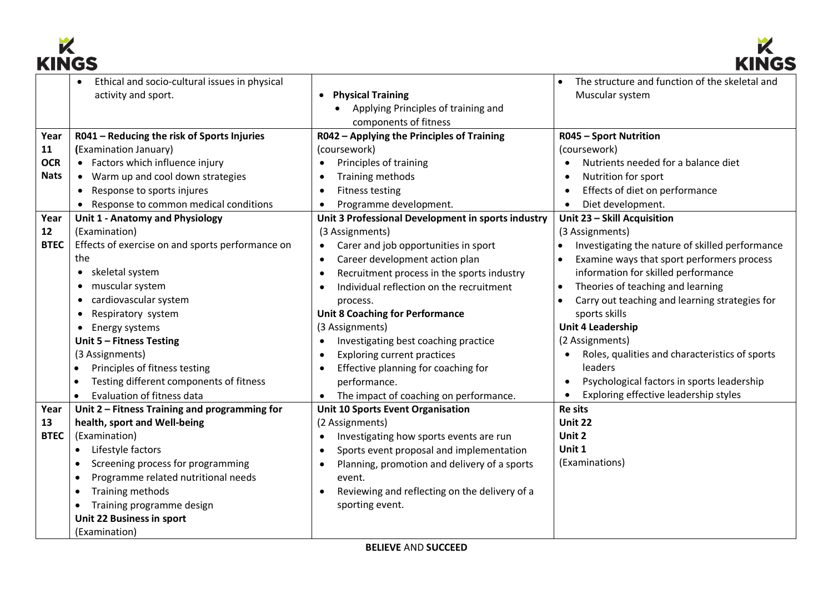



| muvv        |                                                  |                                                         |                                                             |  |  |  |
|-------------|--------------------------------------------------|---------------------------------------------------------|-------------------------------------------------------------|--|--|--|
|             | Ethical and socio-cultural issues in physical    |                                                         | The structure and function of the skeletal and<br>$\bullet$ |  |  |  |
|             | activity and sport.                              | <b>Physical Training</b><br>$\bullet$                   | Muscular system                                             |  |  |  |
|             |                                                  | Applying Principles of training and                     |                                                             |  |  |  |
|             |                                                  | components of fitness                                   |                                                             |  |  |  |
| Year        | R041 - Reducing the risk of Sports Injuries      | R042 - Applying the Principles of Training              | <b>R045 - Sport Nutrition</b>                               |  |  |  |
| 11          | (Examination January)                            | (coursework)                                            | (coursework)                                                |  |  |  |
| <b>OCR</b>  | • Factors which influence injury                 | Principles of training                                  | Nutrients needed for a balance diet<br>$\bullet$            |  |  |  |
| <b>Nats</b> | • Warm up and cool down strategies               | Training methods                                        | Nutrition for sport                                         |  |  |  |
|             | Response to sports injures                       | <b>Fitness testing</b>                                  | Effects of diet on performance                              |  |  |  |
|             | Response to common medical conditions            | Programme development.                                  | Diet development.<br>$\bullet$                              |  |  |  |
| Year        | Unit 1 - Anatomy and Physiology                  | Unit 3 Professional Development in sports industry      | Unit 23 - Skill Acquisition                                 |  |  |  |
| 12          | (Examination)                                    | (3 Assignments)                                         | (3 Assignments)                                             |  |  |  |
| <b>BTEC</b> | Effects of exercise on and sports performance on | Carer and job opportunities in sport<br>$\bullet$       | Investigating the nature of skilled performance             |  |  |  |
|             | the                                              | Career development action plan<br>$\bullet$             | Examine ways that sport performers process                  |  |  |  |
|             | skeletal system<br>$\bullet$                     | Recruitment process in the sports industry<br>$\bullet$ | information for skilled performance                         |  |  |  |
|             | muscular system<br>$\bullet$                     | Individual reflection on the recruitment                | Theories of teaching and learning                           |  |  |  |
|             | cardiovascular system<br>٠                       | process.                                                | Carry out teaching and learning strategies for              |  |  |  |
|             | Respiratory system                               | <b>Unit 8 Coaching for Performance</b>                  | sports skills                                               |  |  |  |
|             | Energy systems<br>$\bullet$                      | (3 Assignments)                                         | <b>Unit 4 Leadership</b>                                    |  |  |  |
|             | Unit 5 - Fitness Testing                         | Investigating best coaching practice                    | (2 Assignments)                                             |  |  |  |
|             | (3 Assignments)                                  | <b>Exploring current practices</b>                      | Roles, qualities and characteristics of sports<br>$\bullet$ |  |  |  |
|             | Principles of fitness testing                    | Effective planning for coaching for                     | leaders                                                     |  |  |  |
|             | Testing different components of fitness          | performance.                                            | Psychological factors in sports leadership<br>$\bullet$     |  |  |  |
|             | Evaluation of fitness data<br>$\bullet$          | The impact of coaching on performance.                  | Exploring effective leadership styles                       |  |  |  |
| Year        | Unit 2 - Fitness Training and programming for    | <b>Unit 10 Sports Event Organisation</b>                | <b>Re sits</b>                                              |  |  |  |
| 13          | health, sport and Well-being                     | (2 Assignments)                                         | <b>Unit 22</b>                                              |  |  |  |
| <b>BTEC</b> | (Examination)                                    | Investigating how sports events are run<br>$\bullet$    | Unit 2                                                      |  |  |  |
|             | Lifestyle factors                                | Sports event proposal and implementation<br>$\bullet$   | Unit 1                                                      |  |  |  |
|             | Screening process for programming                | Planning, promotion and delivery of a sports            | (Examinations)                                              |  |  |  |
|             | Programme related nutritional needs              | event.                                                  |                                                             |  |  |  |
|             | Training methods                                 | Reviewing and reflecting on the delivery of a           |                                                             |  |  |  |
|             | Training programme design                        | sporting event.                                         |                                                             |  |  |  |
|             | Unit 22 Business in sport                        |                                                         |                                                             |  |  |  |
|             | (Examination)                                    |                                                         |                                                             |  |  |  |